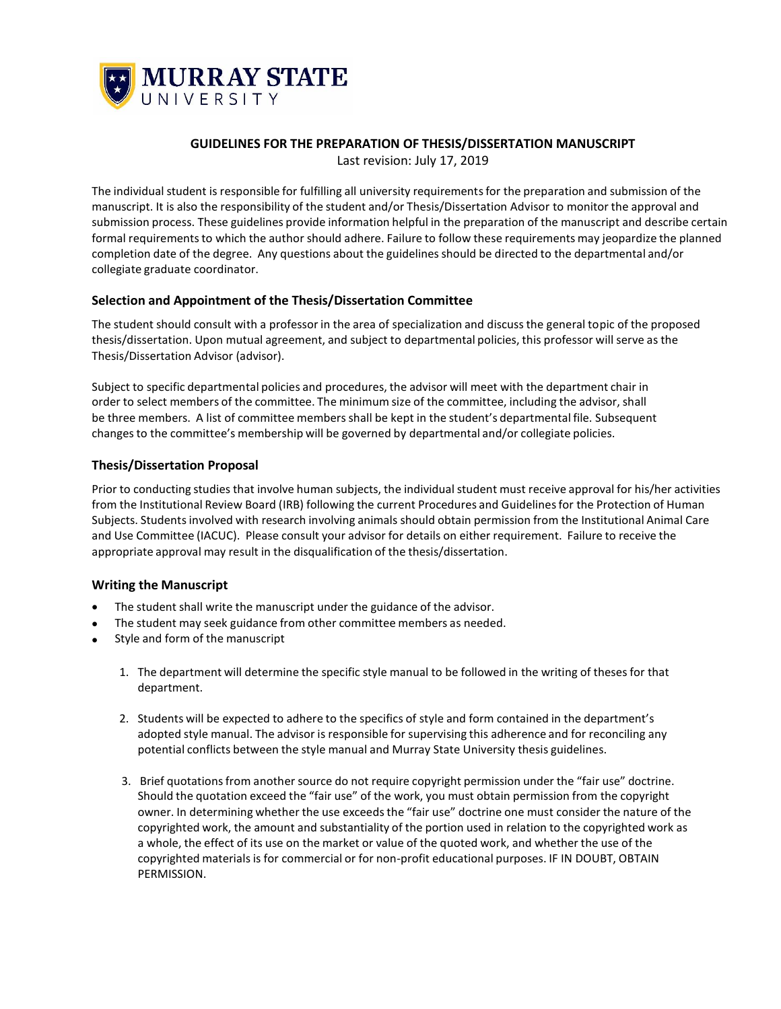

## **GUIDELINES FOR THE PREPARATION OF THESIS/DISSERTATION MANUSCRIPT**

Last revision: July 17, 2019

The individual student is responsible for fulfilling all university requirementsfor the preparation and submission of the manuscript. It is also the responsibility of the student and/or Thesis/Dissertation Advisor to monitor the approval and submission process. These guidelines provide information helpful in the preparation of the manuscript and describe certain formal requirements to which the author should adhere. Failure to follow these requirements may jeopardize the planned completion date of the degree. Any questions about the guidelinesshould be directed to the departmental and/or collegiate graduate coordinator.

### **Selection and Appointment of the Thesis/Dissertation Committee**

The student should consult with a professor in the area of specialization and discussthe general topic of the proposed thesis/dissertation. Upon mutual agreement, and subject to departmental policies, this professor will serve as the Thesis/Dissertation Advisor (advisor).

Subject to specific departmental policies and procedures, the advisor will meet with the department chair in order to select members of the committee. The minimum size of the committee, including the advisor, shall be three members. A list of committee membersshall be kept in the student's departmental file. Subsequent changesto the committee's membership will be governed by departmental and/or collegiate policies.

#### **Thesis/Dissertation Proposal**

Prior to conducting studies that involve human subjects, the individual student must receive approval for his/her activities from the Institutional Review Board (IRB) following the current Procedures and Guidelinesfor the Protection of Human Subjects. Studentsinvolved with research involving animals should obtain permission from the Institutional Animal Care and Use Committee (IACUC). Please consult your advisor for details on either requirement. Failure to receive the appropriate approval may result in the disqualification of the thesis/dissertation.

### **Writing the Manuscript**

- The student shall write the manuscript under the guidance of the advisor.
- The student may seek guidance from other committee members as needed.
- Style and form of the manuscript
	- 1. The department will determine the specific style manual to be followed in the writing of theses for that department.
	- 2. Students will be expected to adhere to the specifics of style and form contained in the department's adopted style manual. The advisor is responsible for supervising this adherence and for reconciling any potential conflicts between the style manual and Murray State University thesis guidelines.
	- 3. Brief quotationsfrom another source do not require copyright permission under the "fair use" doctrine. Should the quotation exceed the "fair use" of the work, you must obtain permission from the copyright owner. In determining whether the use exceeds the "fair use" doctrine one must consider the nature of the copyrighted work, the amount and substantiality of the portion used in relation to the copyrighted work as a whole, the effect of its use on the market or value of the quoted work, and whether the use of the copyrighted materialsis for commercial or for non-profit educational purposes. IF IN DOUBT, OBTAIN PERMISSION.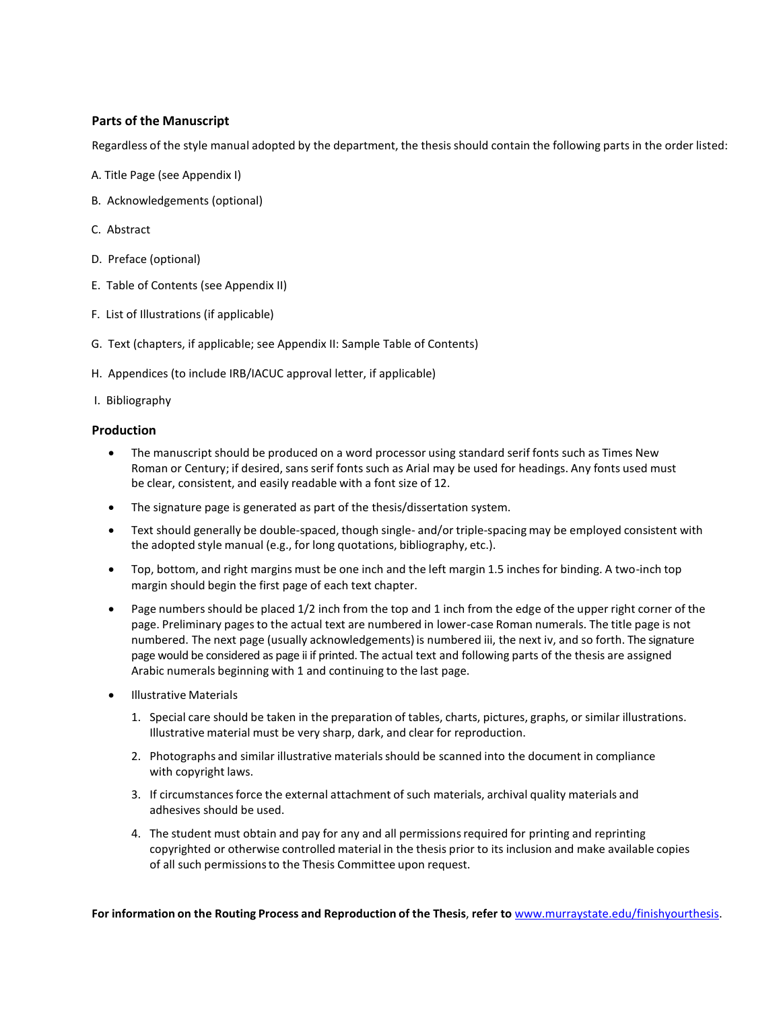### **Parts of the Manuscript**

Regardless of the style manual adopted by the department, the thesis should contain the following parts in the order listed:

- A. Title Page (see Appendix I)
- B. Acknowledgements (optional)
- C. Abstract
- D. Preface (optional)
- E. Table of Contents (see Appendix II)
- F. List of Illustrations (if applicable)
- G. Text (chapters, if applicable; see Appendix II: Sample Table of Contents)
- H. Appendices (to include IRB/IACUC approval letter, if applicable)
- I. Bibliography

#### **Production**

- The manuscript should be produced on a word processor using standard serif fonts such as Times New Roman or Century; if desired, sans serif fonts such as Arial may be used for headings. Any fonts used must be clear, consistent, and easily readable with a font size of 12.
- The signature page is generated as part of the thesis/dissertation system.
- Text should generally be double-spaced, though single- and/or triple-spacing may be employed consistent with the adopted style manual (e.g., for long quotations, bibliography, etc.).
- Top, bottom, and right margins must be one inch and the left margin 1.5 inches for binding. A two-inch top margin should begin the first page of each text chapter.
- Page numbersshould be placed 1/2 inch from the top and 1 inch from the edge of the upper right corner of the page. Preliminary pagesto the actual text are numbered in lower-case Roman numerals. The title page is not numbered. The next page (usually acknowledgements)is numbered iii, the next iv, and so forth. The signature page would be considered as page ii if printed. The actual text and following parts of the thesis are assigned Arabic numerals beginning with 1 and continuing to the last page.
- Illustrative Materials
	- 1. Special care should be taken in the preparation of tables, charts, pictures, graphs, or similar illustrations. Illustrative material must be very sharp, dark, and clear for reproduction.
	- 2. Photographs and similar illustrative materials should be scanned into the document in compliance with copyright laws.
	- 3. If circumstancesforce the external attachment of such materials, archival quality materials and adhesives should be used.
	- 4. The student must obtain and pay for any and all permissionsrequired for printing and reprinting copyrighted or otherwise controlled material in the thesis prior to its inclusion and make available copies of all such permissionsto the Thesis Committee upon request.

**For information on the Routing Process and Reproduction of the Thesis**, **refer to** [www.murraystate.edu/finishyourthesis.](http://www.murraystate.edu/finishyourthesis)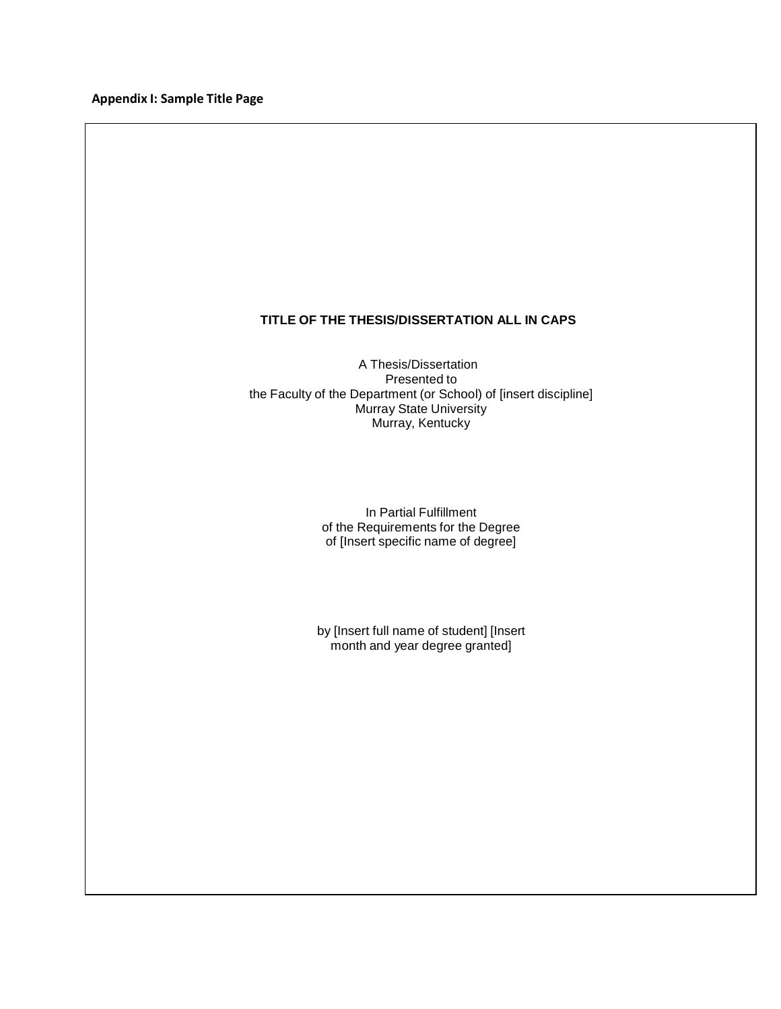**Appendix I: Sample Title Page**

# **TITLE OF THE THESIS/DISSERTATION ALL IN CAPS**

A Thesis/Dissertation Presented to the Faculty of the Department (or School) of [insert discipline] Murray State University Murray, Kentucky

> In Partial Fulfillment of the Requirements for the Degree of [Insert specific name of degree]

by [Insert full name of student] [Insert month and year degree granted]